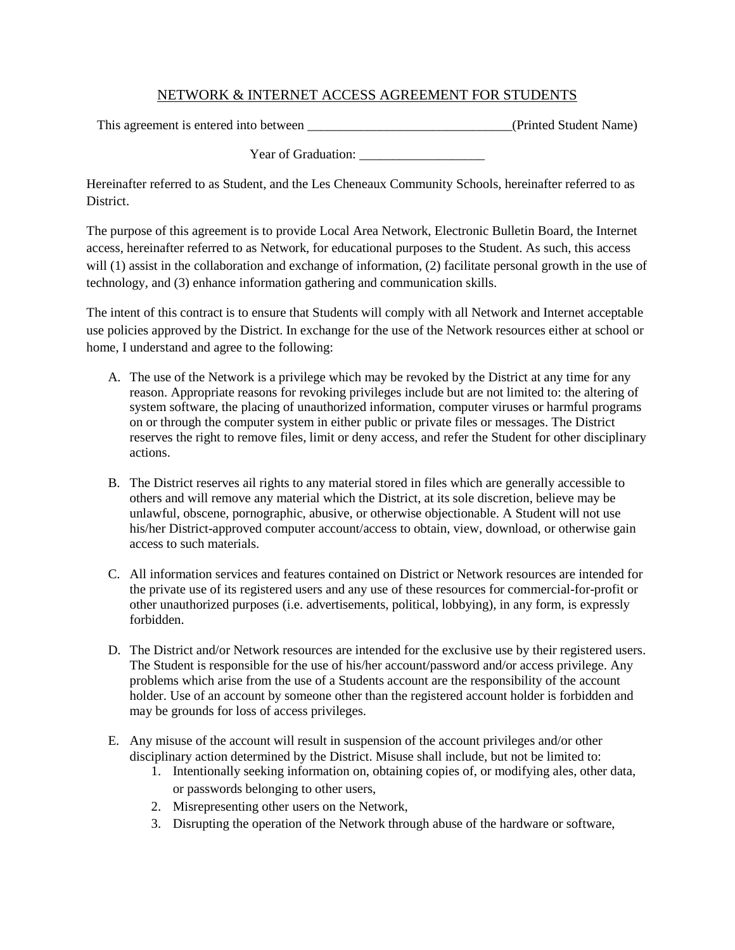## NETWORK & INTERNET ACCESS AGREEMENT FOR STUDENTS

This agreement is entered into between \_\_\_\_\_\_\_\_\_\_\_\_\_\_\_\_\_\_\_\_\_\_\_\_\_\_\_\_\_\_\_\_\_(Printed Student Name)

Year of Graduation: \_\_\_\_\_\_\_\_\_\_\_\_\_\_\_\_\_\_\_

Hereinafter referred to as Student, and the Les Cheneaux Community Schools, hereinafter referred to as District.

The purpose of this agreement is to provide Local Area Network, Electronic Bulletin Board, the Internet access, hereinafter referred to as Network, for educational purposes to the Student. As such, this access will (1) assist in the collaboration and exchange of information, (2) facilitate personal growth in the use of technology, and (3) enhance information gathering and communication skills.

The intent of this contract is to ensure that Students will comply with all Network and Internet acceptable use policies approved by the District. In exchange for the use of the Network resources either at school or home, I understand and agree to the following:

- A. The use of the Network is a privilege which may be revoked by the District at any time for any reason. Appropriate reasons for revoking privileges include but are not limited to: the altering of system software, the placing of unauthorized information, computer viruses or harmful programs on or through the computer system in either public or private files or messages. The District reserves the right to remove files, limit or deny access, and refer the Student for other disciplinary actions.
- B. The District reserves ail rights to any material stored in files which are generally accessible to others and will remove any material which the District, at its sole discretion, believe may be unlawful, obscene, pornographic, abusive, or otherwise objectionable. A Student will not use his/her District-approved computer account/access to obtain, view, download, or otherwise gain access to such materials.
- C. All information services and features contained on District or Network resources are intended for the private use of its registered users and any use of these resources for commercial-for-profit or other unauthorized purposes (i.e. advertisements, political, lobbying), in any form, is expressly forbidden.
- D. The District and/or Network resources are intended for the exclusive use by their registered users. The Student is responsible for the use of his/her account/password and/or access privilege. Any problems which arise from the use of a Students account are the responsibility of the account holder. Use of an account by someone other than the registered account holder is forbidden and may be grounds for loss of access privileges.
- E. Any misuse of the account will result in suspension of the account privileges and/or other disciplinary action determined by the District. Misuse shall include, but not be limited to:
	- 1. Intentionally seeking information on, obtaining copies of, or modifying ales, other data, or passwords belonging to other users,
	- 2. Misrepresenting other users on the Network,
	- 3. Disrupting the operation of the Network through abuse of the hardware or software,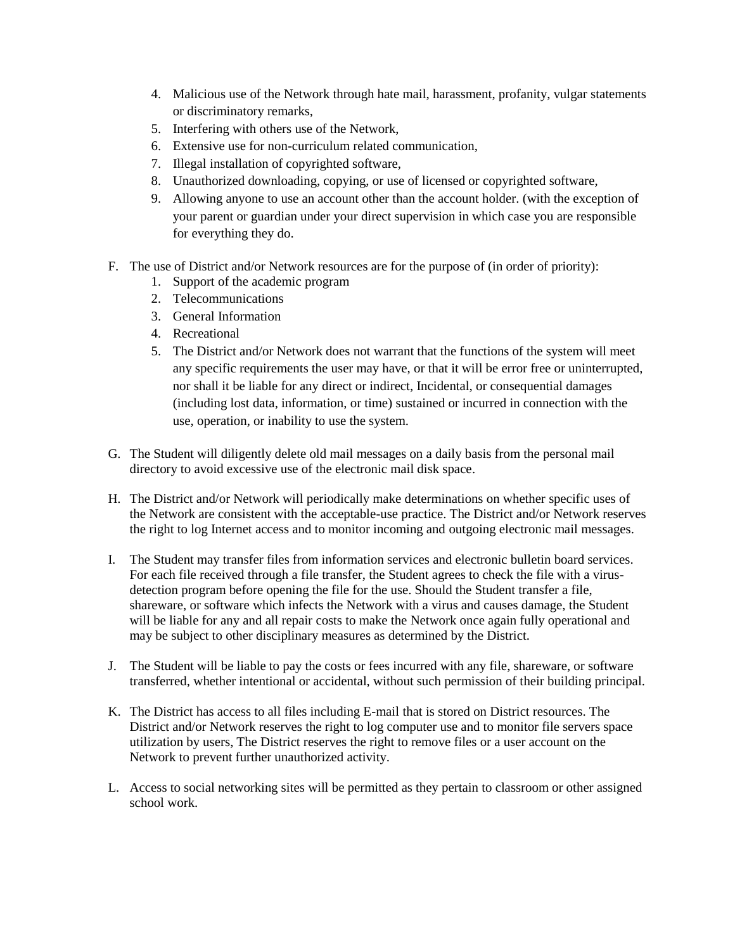- 4. Malicious use of the Network through hate mail, harassment, profanity, vulgar statements or discriminatory remarks,
- 5. Interfering with others use of the Network,
- 6. Extensive use for non-curriculum related communication,
- 7. Illegal installation of copyrighted software,
- 8. Unauthorized downloading, copying, or use of licensed or copyrighted software,
- 9. Allowing anyone to use an account other than the account holder. (with the exception of your parent or guardian under your direct supervision in which case you are responsible for everything they do.
- F. The use of District and/or Network resources are for the purpose of (in order of priority):
	- 1. Support of the academic program
	- 2. Telecommunications
	- 3. General Information
	- 4. Recreational
	- 5. The District and/or Network does not warrant that the functions of the system will meet any specific requirements the user may have, or that it will be error free or uninterrupted, nor shall it be liable for any direct or indirect, Incidental, or consequential damages (including lost data, information, or time) sustained or incurred in connection with the use, operation, or inability to use the system.
- G. The Student will diligently delete old mail messages on a daily basis from the personal mail directory to avoid excessive use of the electronic mail disk space.
- H. The District and/or Network will periodically make determinations on whether specific uses of the Network are consistent with the acceptable-use practice. The District and/or Network reserves the right to log Internet access and to monitor incoming and outgoing electronic mail messages.
- I. The Student may transfer files from information services and electronic bulletin board services. For each file received through a file transfer, the Student agrees to check the file with a virusdetection program before opening the file for the use. Should the Student transfer a file, shareware, or software which infects the Network with a virus and causes damage, the Student will be liable for any and all repair costs to make the Network once again fully operational and may be subject to other disciplinary measures as determined by the District.
- J. The Student will be liable to pay the costs or fees incurred with any file, shareware, or software transferred, whether intentional or accidental, without such permission of their building principal.
- K. The District has access to all files including E-mail that is stored on District resources. The District and/or Network reserves the right to log computer use and to monitor file servers space utilization by users, The District reserves the right to remove files or a user account on the Network to prevent further unauthorized activity.
- L. Access to social networking sites will be permitted as they pertain to classroom or other assigned school work.